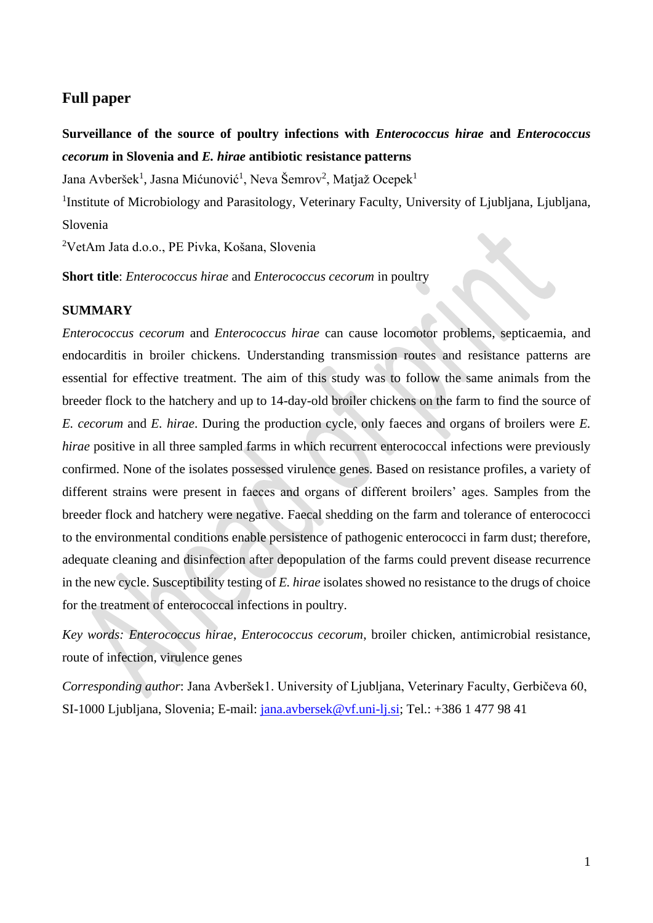# **Full paper**

# **Surveillance of the source of poultry infections with** *Enterococcus hirae* **and** *Enterococcus cecorum* **in Slovenia and** *E. hirae* **antibiotic resistance patterns**

Jana Avberšek<sup>1</sup>, Jasna Mićunović<sup>1</sup>, Neva Šemrov<sup>2</sup>, Matjaž Ocepek<sup>1</sup>

<sup>1</sup>Institute of Microbiology and Parasitology, Veterinary Faculty, University of Ljubljana, Ljubljana, Slovenia

<sup>2</sup>VetAm Jata d.o.o., PE Pivka, Košana, Slovenia

**Short title**: *Enterococcus hirae* and *Enterococcus cecorum* in poultry

# **SUMMARY**

*Enterococcus cecorum* and *Enterococcus hirae* can cause locomotor problems, septicaemia, and endocarditis in broiler chickens. Understanding transmission routes and resistance patterns are essential for effective treatment. The aim of this study was to follow the same animals from the breeder flock to the hatchery and up to 14-day-old broiler chickens on the farm to find the source of *E. cecorum* and *E. hirae*. During the production cycle, only faeces and organs of broilers were *E. hirae* positive in all three sampled farms in which recurrent enterococcal infections were previously confirmed. None of the isolates possessed virulence genes. Based on resistance profiles, a variety of different strains were present in faeces and organs of different broilers' ages. Samples from the breeder flock and hatchery were negative. Faecal shedding on the farm and tolerance of enterococci to the environmental conditions enable persistence of pathogenic enterococci in farm dust; therefore, adequate cleaning and disinfection after depopulation of the farms could prevent disease recurrence in the new cycle. Susceptibility testing of *E. hirae* isolates showed no resistance to the drugs of choice for the treatment of enterococcal infections in poultry.

*Key words: Enterococcus hirae*, *Enterococcus cecorum*, broiler chicken, antimicrobial resistance, route of infection, virulence genes

*Corresponding author*: Jana Avberšek1. University of Ljubljana, Veterinary Faculty, Gerbičeva 60, SI-1000 Ljubljana, Slovenia; E-mail: [jana.avbersek@vf.uni-lj.si;](mailto:jana.avbersek@vf.uni-lj.si) Tel.: +386 1 477 98 41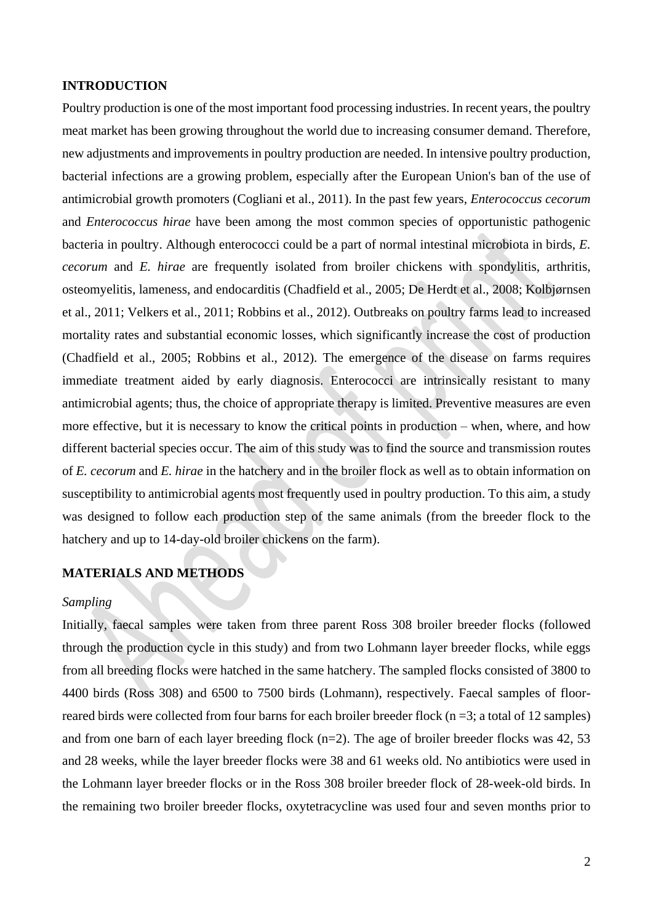# **INTRODUCTION**

Poultry production is one of the most important food processing industries. In recent years, the poultry meat market has been growing throughout the world due to increasing consumer demand. Therefore, new adjustments and improvements in poultry production are needed. In intensive poultry production, bacterial infections are a growing problem, especially after the European Union's ban of the use of antimicrobial growth promoters (Cogliani et al., 2011). In the past few years, *Enterococcus cecorum* and *Enterococcus hirae* have been among the most common species of opportunistic pathogenic bacteria in poultry. Although enterococci could be a part of normal intestinal microbiota in birds, *E. cecorum* and *E. hirae* are frequently isolated from broiler chickens with spondylitis, arthritis, osteomyelitis, lameness, and endocarditis (Chadfield et al., 2005; De Herdt et al., 2008; Kolbjørnsen et al., 2011; Velkers et al., 2011; Robbins et al., 2012). Outbreaks on poultry farms lead to increased mortality rates and substantial economic losses, which significantly increase the cost of production (Chadfield et al., 2005; Robbins et al., 2012). The emergence of the disease on farms requires immediate treatment aided by early diagnosis. Enterococci are intrinsically resistant to many antimicrobial agents; thus, the choice of appropriate therapy is limited. Preventive measures are even more effective, but it is necessary to know the critical points in production – when, where, and how different bacterial species occur. The aim of this study was to find the source and transmission routes of *E. cecorum* and *E. hirae* in the hatchery and in the broiler flock as well as to obtain information on susceptibility to antimicrobial agents most frequently used in poultry production. To this aim, a study was designed to follow each production step of the same animals (from the breeder flock to the hatchery and up to 14-day-old broiler chickens on the farm).

# **MATERIALS AND METHODS**

#### *Sampling*

Initially, faecal samples were taken from three parent Ross 308 broiler breeder flocks (followed through the production cycle in this study) and from two Lohmann layer breeder flocks, while eggs from all breeding flocks were hatched in the same hatchery. The sampled flocks consisted of 3800 to 4400 birds (Ross 308) and 6500 to 7500 birds (Lohmann), respectively. Faecal samples of floorreared birds were collected from four barns for each broiler breeder flock (n =3; a total of 12 samples) and from one barn of each layer breeding flock (n=2). The age of broiler breeder flocks was 42, 53 and 28 weeks, while the layer breeder flocks were 38 and 61 weeks old. No antibiotics were used in the Lohmann layer breeder flocks or in the Ross 308 broiler breeder flock of 28-week-old birds. In the remaining two broiler breeder flocks, oxytetracycline was used four and seven months prior to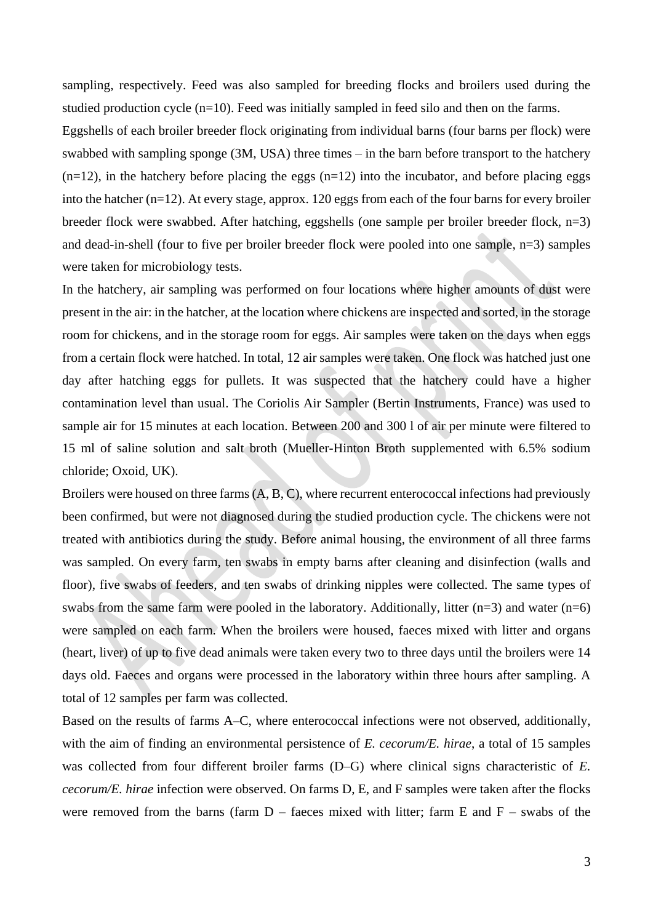sampling, respectively. Feed was also sampled for breeding flocks and broilers used during the studied production cycle  $(n=10)$ . Feed was initially sampled in feed silo and then on the farms.

Eggshells of each broiler breeder flock originating from individual barns (four barns per flock) were swabbed with sampling sponge (3M, USA) three times – in the barn before transport to the hatchery  $(n=12)$ , in the hatchery before placing the eggs  $(n=12)$  into the incubator, and before placing eggs into the hatcher (n=12). At every stage, approx. 120 eggs from each of the four barns for every broiler breeder flock were swabbed. After hatching, eggshells (one sample per broiler breeder flock, n=3) and dead-in-shell (four to five per broiler breeder flock were pooled into one sample, n=3) samples were taken for microbiology tests.

In the hatchery, air sampling was performed on four locations where higher amounts of dust were present in the air: in the hatcher, at the location where chickens are inspected and sorted, in the storage room for chickens, and in the storage room for eggs. Air samples were taken on the days when eggs from a certain flock were hatched. In total, 12 air samples were taken. One flock was hatched just one day after hatching eggs for pullets. It was suspected that the hatchery could have a higher contamination level than usual. The Coriolis Air Sampler (Bertin Instruments, France) was used to sample air for 15 minutes at each location. Between 200 and 300 l of air per minute were filtered to 15 ml of saline solution and salt broth (Mueller-Hinton Broth supplemented with 6.5% sodium chloride; Oxoid, UK).

Broilers were housed on three farms (A, B, C), where recurrent enterococcal infections had previously been confirmed, but were not diagnosed during the studied production cycle. The chickens were not treated with antibiotics during the study. Before animal housing, the environment of all three farms was sampled. On every farm, ten swabs in empty barns after cleaning and disinfection (walls and floor), five swabs of feeders, and ten swabs of drinking nipples were collected. The same types of swabs from the same farm were pooled in the laboratory. Additionally, litter  $(n=3)$  and water  $(n=6)$ were sampled on each farm. When the broilers were housed, faeces mixed with litter and organs (heart, liver) of up to five dead animals were taken every two to three days until the broilers were 14 days old. Faeces and organs were processed in the laboratory within three hours after sampling. A total of 12 samples per farm was collected.

Based on the results of farms A–C, where enterococcal infections were not observed, additionally, with the aim of finding an environmental persistence of *E. cecorum/E. hirae*, a total of 15 samples was collected from four different broiler farms (D–G) where clinical signs characteristic of *E. cecorum/E. hirae* infection were observed. On farms D, E, and F samples were taken after the flocks were removed from the barns (farm  $D$  – faeces mixed with litter; farm E and  $F$  – swabs of the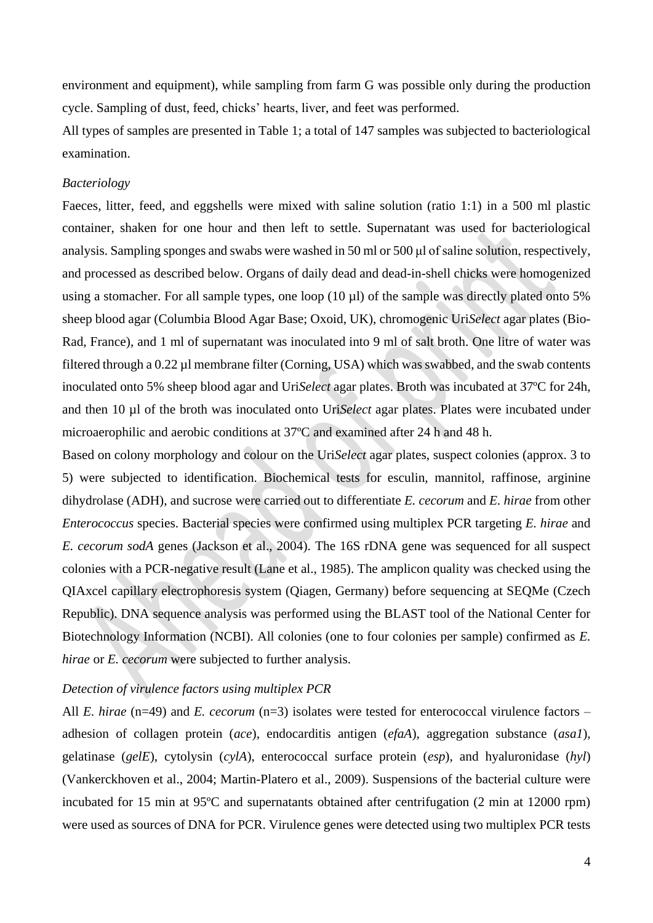environment and equipment), while sampling from farm G was possible only during the production cycle. Sampling of dust, feed, chicks' hearts, liver, and feet was performed.

All types of samples are presented in Table 1; a total of 147 samples was subjected to bacteriological examination.

#### *Bacteriology*

Faeces, litter, feed, and eggshells were mixed with saline solution (ratio 1:1) in a 500 ml plastic container, shaken for one hour and then left to settle. Supernatant was used for bacteriological analysis. Sampling sponges and swabs were washed in 50 ml or 500 μl of saline solution, respectively, and processed as described below. Organs of daily dead and dead-in-shell chicks were homogenized using a stomacher. For all sample types, one loop (10 µl) of the sample was directly plated onto 5% sheep blood agar (Columbia Blood Agar Base; Oxoid, UK), chromogenic Uri*Select* agar plates (Bio-Rad, France), and 1 ml of supernatant was inoculated into 9 ml of salt broth. One litre of water was filtered through a 0.22 µl membrane filter (Corning, USA) which was swabbed, and the swab contents inoculated onto 5% sheep blood agar and Uri*Select* agar plates. Broth was incubated at 37ºC for 24h, and then 10 µl of the broth was inoculated onto Uri*Select* agar plates. Plates were incubated under microaerophilic and aerobic conditions at 37ºC and examined after 24 h and 48 h.

Based on colony morphology and colour on the Uri*Select* agar plates, suspect colonies (approx. 3 to 5) were subjected to identification. Biochemical tests for esculin, mannitol, raffinose, arginine dihydrolase (ADH), and sucrose were carried out to differentiate *E. cecorum* and *E. hirae* from other *Enterococcus* species. Bacterial species were confirmed using multiplex PCR targeting *E. hirae* and *E. cecorum sodA* genes (Jackson et al., 2004). The 16S rDNA gene was sequenced for all suspect colonies with a PCR-negative result (Lane et al., 1985). The amplicon quality was checked using the QIAxcel capillary electrophoresis system (Qiagen, Germany) before sequencing at SEQMe (Czech Republic). DNA sequence analysis was performed using the BLAST tool of the National Center for Biotechnology Information (NCBI). All colonies (one to four colonies per sample) confirmed as *E. hirae* or *E. cecorum* were subjected to further analysis.

## *Detection of virulence factors using multiplex PCR*

All *E. hirae* (n=49) and *E. cecorum* (n=3) isolates were tested for enterococcal virulence factors – adhesion of collagen protein (*ace*), endocarditis antigen (*efaA*), aggregation substance (*asa1*), gelatinase (*gelE*), cytolysin (*cylA*), enterococcal surface protein (*esp*), and hyaluronidase (*hyl*) (Vankerckhoven et al., 2004; Martin-Platero et al., 2009). Suspensions of the bacterial culture were incubated for 15 min at 95ºC and supernatants obtained after centrifugation (2 min at 12000 rpm) were used as sources of DNA for PCR. Virulence genes were detected using two multiplex PCR tests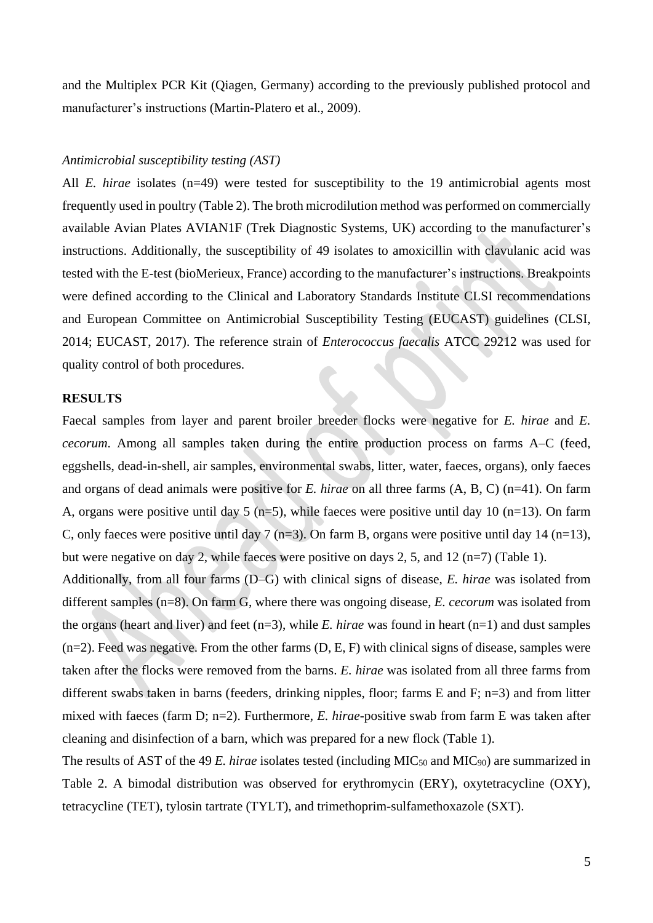and the Multiplex PCR Kit (Qiagen, Germany) according to the previously published protocol and manufacturer's instructions (Martin-Platero et al., 2009).

#### *Antimicrobial susceptibility testing (AST)*

All *E. hirae* isolates (n=49) were tested for susceptibility to the 19 antimicrobial agents most frequently used in poultry (Table 2). The broth microdilution method was performed on commercially available Avian Plates AVIAN1F (Trek Diagnostic Systems, UK) according to the manufacturer's instructions. Additionally, the susceptibility of 49 isolates to amoxicillin with clavulanic acid was tested with the E-test (bioMerieux, France) according to the manufacturer's instructions. Breakpoints were defined according to the Clinical and Laboratory Standards Institute CLSI recommendations and European Committee on Antimicrobial Susceptibility Testing (EUCAST) guidelines (CLSI, 2014; EUCAST, 2017). The reference strain of *Enterococcus faecalis* ATCC 29212 was used for quality control of both procedures.

#### **RESULTS**

Faecal samples from layer and parent broiler breeder flocks were negative for *E. hirae* and *E. cecorum*. Among all samples taken during the entire production process on farms A–C (feed, eggshells, dead-in-shell, air samples, environmental swabs, litter, water, faeces, organs), only faeces and organs of dead animals were positive for *E. hirae* on all three farms (A, B, C) (n=41). On farm A, organs were positive until day 5 (n=5), while faeces were positive until day 10 (n=13). On farm C, only faeces were positive until day 7 (n=3). On farm B, organs were positive until day 14 (n=13), but were negative on day 2, while faeces were positive on days 2, 5, and 12 (n=7) (Table 1).

Additionally, from all four farms (D–G) with clinical signs of disease, *E. hirae* was isolated from different samples (n=8). On farm G, where there was ongoing disease, *E. cecorum* was isolated from the organs (heart and liver) and feet (n=3), while *E. hirae* was found in heart (n=1) and dust samples  $(n=2)$ . Feed was negative. From the other farms  $(D, E, F)$  with clinical signs of disease, samples were taken after the flocks were removed from the barns. *E. hirae* was isolated from all three farms from different swabs taken in barns (feeders, drinking nipples, floor; farms E and F; n=3) and from litter mixed with faeces (farm D; n=2). Furthermore, *E. hirae*-positive swab from farm E was taken after cleaning and disinfection of a barn, which was prepared for a new flock (Table 1).

The results of AST of the 49 *E. hirae* isolates tested (including MIC<sub>50</sub> and MIC<sub>90</sub>) are summarized in Table 2. A bimodal distribution was observed for erythromycin (ERY), oxytetracycline (OXY), tetracycline (TET), tylosin tartrate (TYLT), and trimethoprim-sulfamethoxazole (SXT).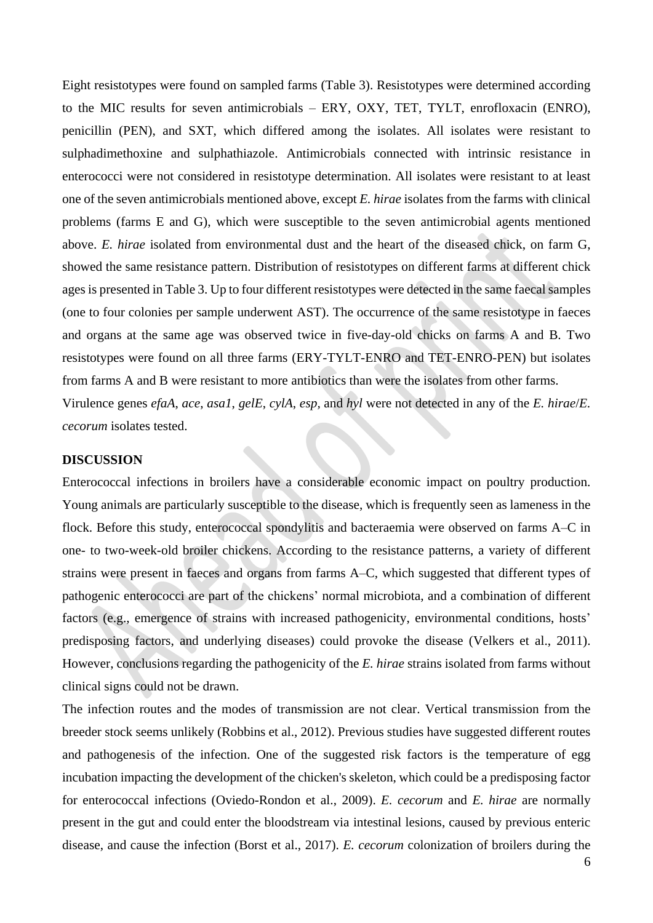Eight resistotypes were found on sampled farms (Table 3). Resistotypes were determined according to the MIC results for seven antimicrobials – ERY, OXY, TET, TYLT, enrofloxacin (ENRO), penicillin (PEN), and SXT, which differed among the isolates. All isolates were resistant to sulphadimethoxine and sulphathiazole. Antimicrobials connected with intrinsic resistance in enterococci were not considered in resistotype determination. All isolates were resistant to at least one of the seven antimicrobials mentioned above, except *E. hirae* isolates from the farms with clinical problems (farms E and G), which were susceptible to the seven antimicrobial agents mentioned above. *E. hirae* isolated from environmental dust and the heart of the diseased chick, on farm G, showed the same resistance pattern. Distribution of resistotypes on different farms at different chick ages is presented in Table 3. Up to four different resistotypes were detected in the same faecal samples (one to four colonies per sample underwent AST). The occurrence of the same resistotype in faeces and organs at the same age was observed twice in five-day-old chicks on farms A and B. Two resistotypes were found on all three farms (ERY-TYLT-ENRO and TET-ENRO-PEN) but isolates from farms A and B were resistant to more antibiotics than were the isolates from other farms. Virulence genes *efaA*, *ace*, *asa1*, *gelE*, *cylA*, *esp,* and *hyl* were not detected in any of the *E. hirae*/*E.*

*cecorum* isolates tested.

## **DISCUSSION**

Enterococcal infections in broilers have a considerable economic impact on poultry production. Young animals are particularly susceptible to the disease, which is frequently seen as lameness in the flock. Before this study, enterococcal spondylitis and bacteraemia were observed on farms A–C in one- to two-week-old broiler chickens. According to the resistance patterns, a variety of different strains were present in faeces and organs from farms A–C, which suggested that different types of pathogenic enterococci are part of the chickens' normal microbiota, and a combination of different factors (e.g., emergence of strains with increased pathogenicity, environmental conditions, hosts' predisposing factors, and underlying diseases) could provoke the disease (Velkers et al., 2011). However, conclusions regarding the pathogenicity of the *E. hirae* strains isolated from farms without clinical signs could not be drawn.

The infection routes and the modes of transmission are not clear. Vertical transmission from the breeder stock seems unlikely (Robbins et al., 2012). Previous studies have suggested different routes and pathogenesis of the infection. One of the suggested risk factors is the temperature of egg incubation impacting the development of the chicken's skeleton, which could be a predisposing factor for enterococcal infections (Oviedo-Rondon et al., 2009). *E. cecorum* and *E. hirae* are normally present in the gut and could enter the bloodstream via intestinal lesions, caused by previous enteric disease, and cause the infection (Borst et al., 2017). *E. cecorum* colonization of broilers during the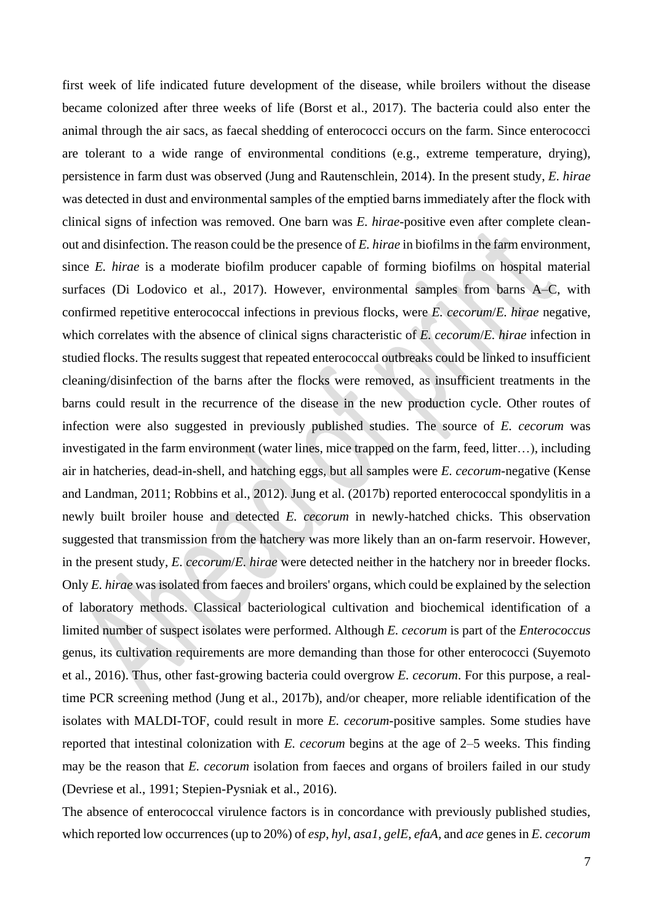first week of life indicated future development of the disease, while broilers without the disease became colonized after three weeks of life (Borst et al., 2017). The bacteria could also enter the animal through the air sacs, as faecal shedding of enterococci occurs on the farm. Since enterococci are tolerant to a wide range of environmental conditions (e.g., extreme temperature, drying), persistence in farm dust was observed (Jung and Rautenschlein, 2014). In the present study, *E. hirae* was detected in dust and environmental samples of the emptied barns immediately after the flock with clinical signs of infection was removed. One barn was *E. hirae*-positive even after complete cleanout and disinfection. The reason could be the presence of *E. hirae* in biofilms in the farm environment, since *E. hirae* is a moderate biofilm producer capable of forming biofilms on hospital material surfaces (Di Lodovico et al., 2017). However, environmental samples from barns A–C, with confirmed repetitive enterococcal infections in previous flocks, were *E. cecorum*/*E. hirae* negative, which correlates with the absence of clinical signs characteristic of *E. cecorum*/*E. hirae* infection in studied flocks. The results suggest that repeated enterococcal outbreaks could be linked to insufficient cleaning/disinfection of the barns after the flocks were removed, as insufficient treatments in the barns could result in the recurrence of the disease in the new production cycle. Other routes of infection were also suggested in previously published studies. The source of *E. cecorum* was investigated in the farm environment (water lines, mice trapped on the farm, feed, litter…), including air in hatcheries, dead-in-shell, and hatching eggs, but all samples were *E. cecorum*-negative (Kense and Landman, 2011; Robbins et al., 2012). Jung et al. (2017b) reported enterococcal spondylitis in a newly built broiler house and detected *E. cecorum* in newly-hatched chicks. This observation suggested that transmission from the hatchery was more likely than an on-farm reservoir. However, in the present study, *E. cecorum*/*E. hirae* were detected neither in the hatchery nor in breeder flocks. Only *E. hirae* was isolated from faeces and broilers' organs, which could be explained by the selection of laboratory methods. Classical bacteriological cultivation and biochemical identification of a limited number of suspect isolates were performed. Although *E. cecorum* is part of the *Enterococcus* genus, its cultivation requirements are more demanding than those for other enterococci (Suyemoto et al., 2016). Thus, other fast-growing bacteria could overgrow *E. cecorum*. For this purpose, a realtime PCR screening method (Jung et al., 2017b), and/or cheaper, more reliable identification of the isolates with MALDI-TOF, could result in more *E. cecorum*-positive samples. Some studies have reported that intestinal colonization with *E. cecorum* begins at the age of 2–5 weeks. This finding may be the reason that *E. cecorum* isolation from faeces and organs of broilers failed in our study (Devriese et al., 1991; Stepien-Pysniak et al., 2016).

The absence of enterococcal virulence factors is in concordance with previously published studies, which reported low occurrences(up to 20%) of *esp*, *hyl*, *asa1*, *gelE*, *efaA,* and *ace* genesin *E. cecorum*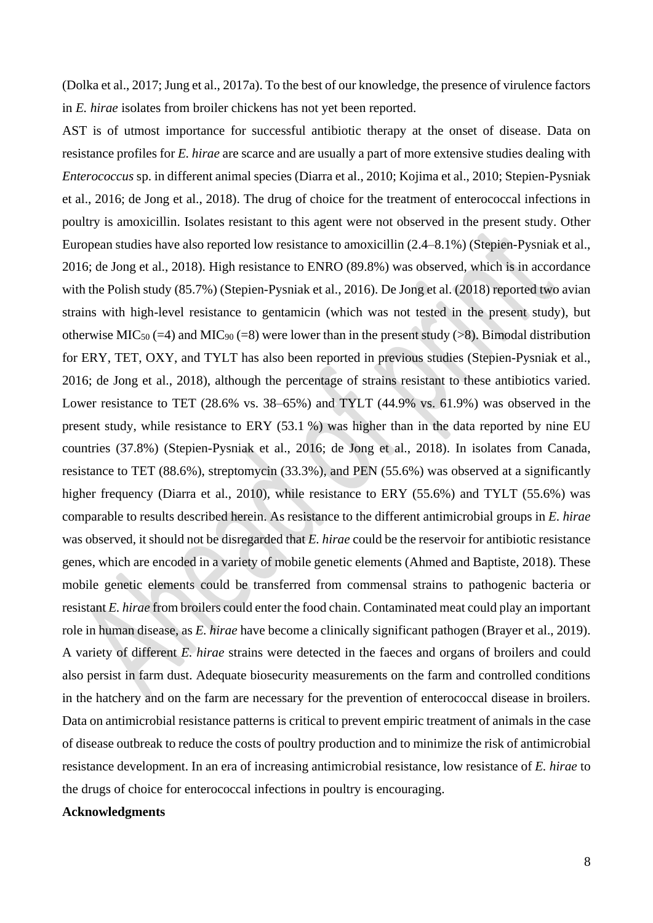(Dolka et al., 2017; Jung et al., 2017a). To the best of our knowledge, the presence of virulence factors in *E. hirae* isolates from broiler chickens has not yet been reported.

AST is of utmost importance for successful antibiotic therapy at the onset of disease. Data on resistance profiles for *E. hirae* are scarce and are usually a part of more extensive studies dealing with *Enterococcus* sp. in different animal species (Diarra et al., 2010; Kojima et al., 2010; Stepien-Pysniak et al., 2016; de Jong et al., 2018). The drug of choice for the treatment of enterococcal infections in poultry is amoxicillin. Isolates resistant to this agent were not observed in the present study. Other European studies have also reported low resistance to amoxicillin (2.4–8.1%) (Stepien-Pysniak et al., 2016; de Jong et al., 2018). High resistance to ENRO (89.8%) was observed, which is in accordance with the Polish study (85.7%) (Stepien-Pysniak et al., 2016). De Jong et al. (2018) reported two avian strains with high-level resistance to gentamicin (which was not tested in the present study), but otherwise MIC<sub>50</sub> (=4) and MIC<sub>90</sub> (=8) were lower than in the present study (>8). Bimodal distribution for ERY, TET, OXY, and TYLT has also been reported in previous studies (Stepien-Pysniak et al., 2016; de Jong et al., 2018), although the percentage of strains resistant to these antibiotics varied. Lower resistance to TET (28.6% vs. 38–65%) and TYLT (44.9% vs. 61.9%) was observed in the present study, while resistance to ERY (53.1 %) was higher than in the data reported by nine EU countries (37.8%) (Stepien-Pysniak et al., 2016; de Jong et al., 2018). In isolates from Canada, resistance to TET (88.6%), streptomycin (33.3%), and PEN (55.6%) was observed at a significantly higher frequency (Diarra et al., 2010), while resistance to ERY (55.6%) and TYLT (55.6%) was comparable to results described herein. As resistance to the different antimicrobial groups in *E. hirae* was observed, it should not be disregarded that *E. hirae* could be the reservoir for antibiotic resistance genes, which are encoded in a variety of mobile genetic elements (Ahmed and Baptiste, 2018). These mobile genetic elements could be transferred from commensal strains to pathogenic bacteria or resistant *E. hirae* from broilers could enter the food chain. Contaminated meat could play an important role in human disease, as *E. hirae* have become a clinically significant pathogen (Brayer et al., 2019). A variety of different *E. hirae* strains were detected in the faeces and organs of broilers and could also persist in farm dust. Adequate biosecurity measurements on the farm and controlled conditions in the hatchery and on the farm are necessary for the prevention of enterococcal disease in broilers. Data on antimicrobial resistance patterns is critical to prevent empiric treatment of animals in the case of disease outbreak to reduce the costs of poultry production and to minimize the risk of antimicrobial resistance development. In an era of increasing antimicrobial resistance, low resistance of *E. hirae* to the drugs of choice for enterococcal infections in poultry is encouraging.

#### **Acknowledgments**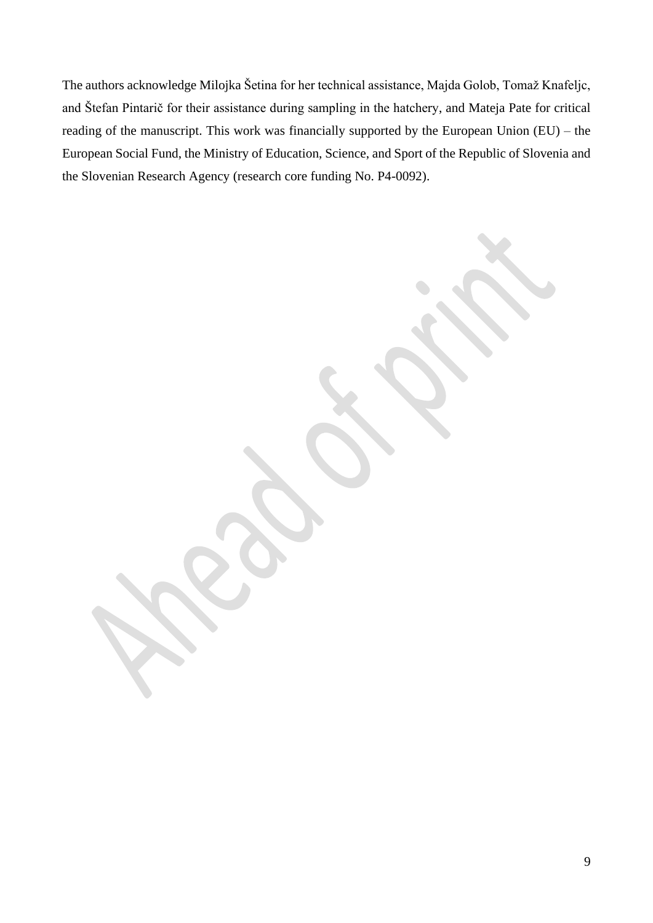The authors acknowledge Milojka Šetina for her technical assistance, Majda Golob, Tomaž Knafeljc, and Štefan Pintarič for their assistance during sampling in the hatchery, and Mateja Pate for critical reading of the manuscript. This work was financially supported by the European Union (EU) – the European Social Fund, the Ministry of Education, Science, and Sport of the Republic of Slovenia and the Slovenian Research Agency (research core funding No. P4-0092).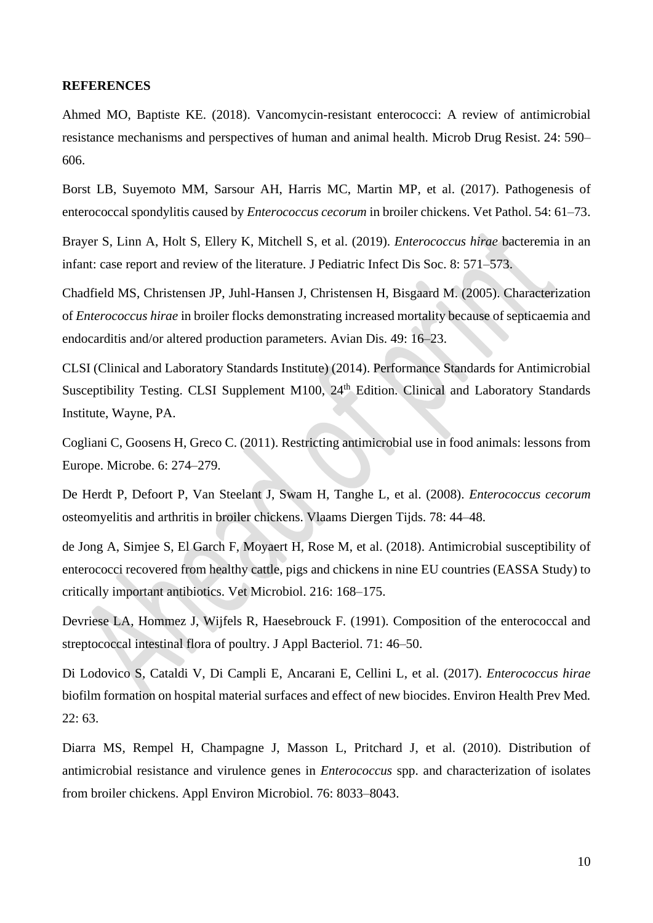#### **REFERENCES**

Ahmed MO, Baptiste KE. (2018). Vancomycin-resistant enterococci: A review of antimicrobial resistance mechanisms and perspectives of human and animal health. Microb Drug Resist. 24: 590– 606.

Borst LB, Suyemoto MM, Sarsour AH, Harris MC, Martin MP, et al. (2017). Pathogenesis of enterococcal spondylitis caused by *Enterococcus cecorum* in broiler chickens. Vet Pathol. 54: 61–73.

Brayer S, Linn A, Holt S, Ellery K, Mitchell S, et al. (2019). *Enterococcus hirae* bacteremia in an infant: case report and review of the literature. J Pediatric Infect Dis Soc. 8: 571–573.

Chadfield MS, Christensen JP, Juhl-Hansen J, Christensen H, Bisgaard M. (2005). Characterization of *Enterococcus hirae* in broiler flocks demonstrating increased mortality because of septicaemia and endocarditis and/or altered production parameters. Avian Dis. 49: 16–23.

CLSI (Clinical and Laboratory Standards Institute) (2014). Performance Standards for Antimicrobial Susceptibility Testing. CLSI Supplement M100, 24<sup>th</sup> Edition. Clinical and Laboratory Standards Institute, Wayne, PA.

Cogliani C, Goosens H, Greco C. (2011). Restricting antimicrobial use in food animals: lessons from Europe. Microbe. 6: 274–279.

De Herdt P, Defoort P, Van Steelant J, Swam H, Tanghe L, et al. (2008). *Enterococcus cecorum* osteomyelitis and arthritis in broiler chickens. Vlaams Diergen Tijds. 78: 44–48.

de Jong A, Simjee S, El Garch F, Moyaert H, Rose M, et al. (2018). Antimicrobial susceptibility of enterococci recovered from healthy cattle, pigs and chickens in nine EU countries (EASSA Study) to critically important antibiotics. Vet Microbiol. 216: 168–175.

Devriese LA, Hommez J, Wijfels R, Haesebrouck F. (1991). Composition of the enterococcal and streptococcal intestinal flora of poultry. J Appl Bacteriol. 71: 46–50.

Di Lodovico S, Cataldi V, Di Campli E, Ancarani E, Cellini L, et al. (2017). *Enterococcus hirae* biofilm formation on hospital material surfaces and effect of new biocides. Environ Health Prev Med*.* 22: 63.

Diarra MS, Rempel H, Champagne J, Masson L, Pritchard J, et al. (2010). Distribution of antimicrobial resistance and virulence genes in *Enterococcus* spp. and characterization of isolates from broiler chickens. Appl Environ Microbiol. 76: 8033–8043.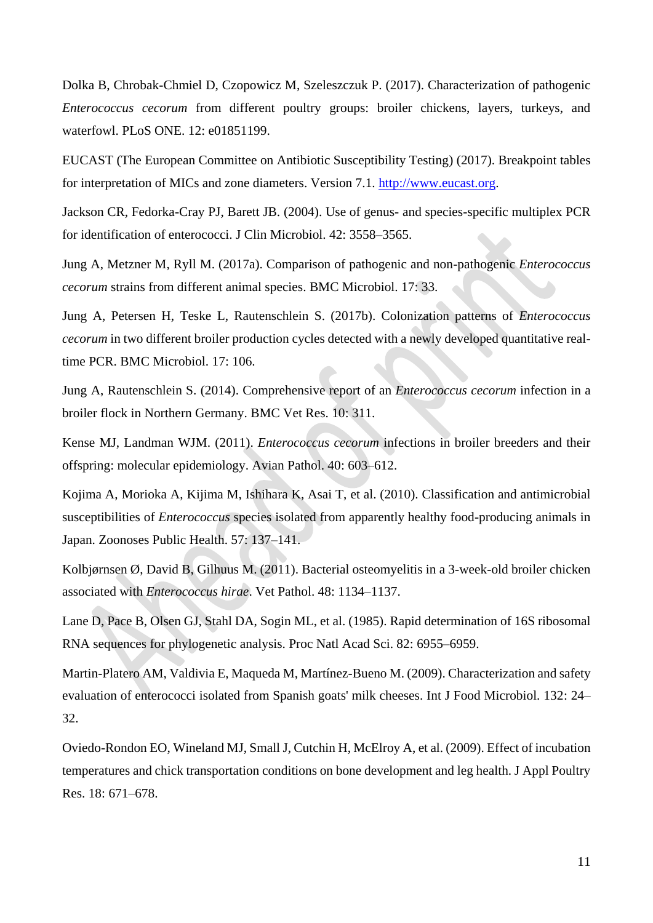Dolka B, Chrobak-Chmiel D, Czopowicz M, Szeleszczuk P. (2017). Characterization of pathogenic *Enterococcus cecorum* from different poultry groups: broiler chickens, layers, turkeys, and waterfowl. PLoS ONE. 12: e01851199.

EUCAST (The European Committee on Antibiotic Susceptibility Testing) (2017). Breakpoint tables for interpretation of MICs and zone diameters. Version 7.1. [http://www.eucast.org.](http://www.eucast.org/)

Jackson CR, Fedorka-Cray PJ, Barett JB. (2004). Use of genus- and species-specific multiplex PCR for identification of enterococci. J Clin Microbiol. 42: 3558–3565.

Jung A, Metzner M, Ryll M. (2017a). Comparison of pathogenic and non-pathogenic *Enterococcus cecorum* strains from different animal species. BMC Microbiol. 17: 33.

Jung A, Petersen H, Teske L, Rautenschlein S. (2017b). Colonization patterns of *Enterococcus cecorum* in two different broiler production cycles detected with a newly developed quantitative realtime PCR. BMC Microbiol. 17: 106.

Jung A, Rautenschlein S. (2014). Comprehensive report of an *Enterococcus cecorum* infection in a broiler flock in Northern Germany. BMC Vet Res. 10: 311.

Kense MJ, Landman WJM. (2011). *Enterococcus cecorum* infections in broiler breeders and their offspring: molecular epidemiology. Avian Pathol. 40: 603–612.

Kojima A, Morioka A, Kijima M, Ishihara K, Asai T, et al. (2010). Classification and antimicrobial susceptibilities of *Enterococcus* species isolated from apparently healthy food-producing animals in Japan. Zoonoses Public Health. 57: 137–141.

Kolbjørnsen Ø, David B, Gilhuus M. (2011). Bacterial osteomyelitis in a 3-week-old broiler chicken associated with *Enterococcus hirae*. Vet Pathol. 48: 1134–1137.

Lane D, Pace B, Olsen GJ, Stahl DA, Sogin ML, et al. (1985). Rapid determination of 16S ribosomal RNA sequences for phylogenetic analysis. Proc Natl Acad Sci. 82: 6955–6959.

Martin-Platero AM, Valdivia E, Maqueda M, Martínez-Bueno M. (2009). Characterization and safety evaluation of enterococci isolated from Spanish goats' milk cheeses. Int J Food Microbiol. 132: 24– 32.

Oviedo-Rondon EO, Wineland MJ, Small J, Cutchin H, McElroy A, et al. (2009). Effect of incubation temperatures and chick transportation conditions on bone development and leg health. J Appl Poultry Res. 18: 671–678.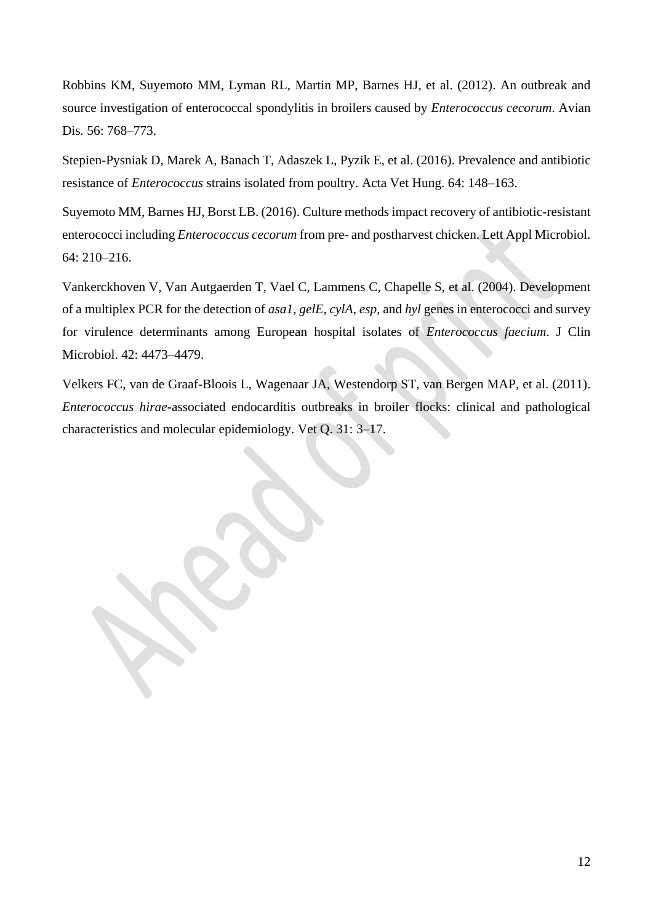Robbins KM, Suyemoto MM, Lyman RL, Martin MP, Barnes HJ, et al. (2012). An outbreak and source investigation of enterococcal spondylitis in broilers caused by *Enterococcus cecorum*. Avian Dis*.* 56: 768–773.

Stepien-Pysniak D, Marek A, Banach T, Adaszek L, Pyzik E, et al. (2016). Prevalence and antibiotic resistance of *Enterococcus* strains isolated from poultry. Acta Vet Hung. 64: 148–163.

Suyemoto MM, Barnes HJ, Borst LB. (2016). Culture methods impact recovery of antibiotic-resistant enterococci including *Enterococcus cecorum* from pre- and postharvest chicken. Lett Appl Microbiol. 64: 210–216.

Vankerckhoven V, Van Autgaerden T, Vael C, Lammens C, Chapelle S, et al. (2004). Development of a multiplex PCR for the detection of *asa1*, *gelE*, *cylA*, *esp*, and *hyl* genes in enterococci and survey for virulence determinants among European hospital isolates of *Enterococcus faecium*. J Clin Microbiol. 42: 4473–4479.

Velkers FC, van de Graaf-Bloois L, Wagenaar JA, Westendorp ST, van Bergen MAP, et al. (2011). *Enterococcus hirae*-associated endocarditis outbreaks in broiler flocks: clinical and pathological characteristics and molecular epidemiology. Vet Q. 31: 3–17.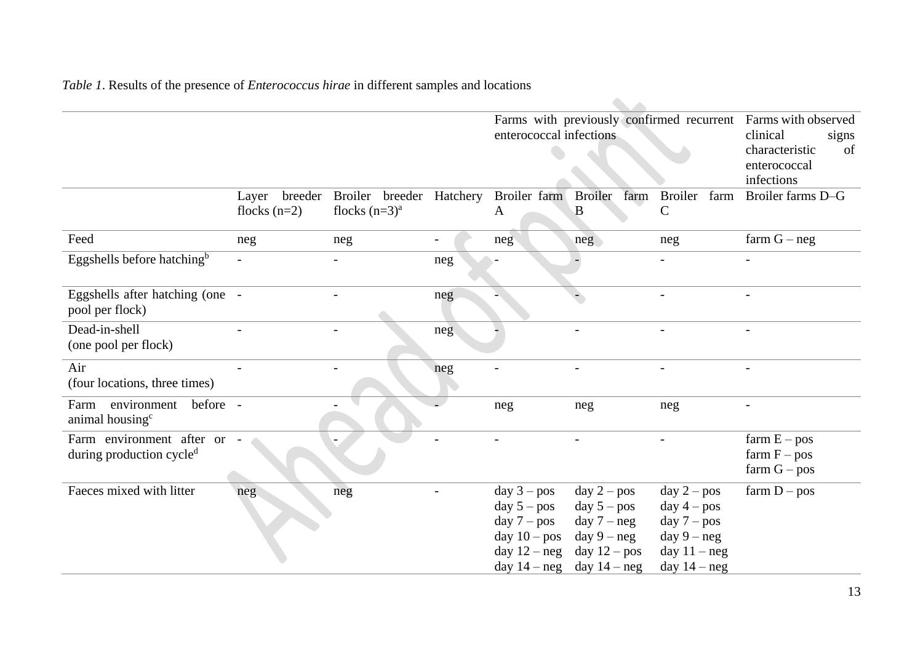*Table 1*. Results of the presence of *Enterococcus hirae* in different samples and locations

|                                                                   |                          |                                                                   |     | enterococcal infections                                                             |                                                                                                                     | Farms with previously confirmed recurrent                                                            | Farms with observed<br>clinical<br>signs<br>characteristic<br>of<br>enterococcal<br>infections |  |  |  |  |  |  |
|-------------------------------------------------------------------|--------------------------|-------------------------------------------------------------------|-----|-------------------------------------------------------------------------------------|---------------------------------------------------------------------------------------------------------------------|------------------------------------------------------------------------------------------------------|------------------------------------------------------------------------------------------------|--|--|--|--|--|--|
|                                                                   | Layer<br>flocks $(n=2)$  | breeder Broiler breeder Hatchery Broiler farm<br>flocks $(n=3)^a$ |     | A                                                                                   | <b>Broiler</b><br>farm<br>B                                                                                         | Broiler<br>farm<br>$\mathbf C$                                                                       | Broiler farms D-G                                                                              |  |  |  |  |  |  |
| Feed                                                              | neg                      | neg                                                               |     | neg                                                                                 | neg                                                                                                                 | neg                                                                                                  | farm $G - neg$                                                                                 |  |  |  |  |  |  |
| Eggshells before hatching <sup>b</sup>                            | $\overline{\phantom{0}}$ |                                                                   | neg |                                                                                     |                                                                                                                     |                                                                                                      |                                                                                                |  |  |  |  |  |  |
| Eggshells after hatching (one -<br>pool per flock)                |                          |                                                                   | neg |                                                                                     |                                                                                                                     |                                                                                                      |                                                                                                |  |  |  |  |  |  |
| Dead-in-shell<br>(one pool per flock)                             |                          |                                                                   | neg |                                                                                     |                                                                                                                     |                                                                                                      |                                                                                                |  |  |  |  |  |  |
| Air<br>(four locations, three times)                              |                          |                                                                   | neg |                                                                                     |                                                                                                                     |                                                                                                      |                                                                                                |  |  |  |  |  |  |
| environment<br>before -<br>Farm<br>animal housing <sup>c</sup>    |                          |                                                                   |     | neg                                                                                 | neg                                                                                                                 | neg                                                                                                  |                                                                                                |  |  |  |  |  |  |
| Farm environment after or<br>during production cycle <sup>d</sup> |                          |                                                                   |     |                                                                                     |                                                                                                                     |                                                                                                      | $farm E - pos$<br>farm $F - pos$<br>$farm G - pos$                                             |  |  |  |  |  |  |
| Faeces mixed with litter                                          | neg                      | neg                                                               |     | day $3 - pos$<br>day $5 - pos$<br>day $7 - pos$<br>day $10 - pos$<br>day $12 - neg$ | day $2 - pos$<br>day $5 - pos$<br>$day 7 - neg$<br>day $9 - neg$<br>day $12 - pos$<br>day $14 - neg$ day $14 - neg$ | day $2 - pos$<br>$day 4 - pos$<br>day $7 - pos$<br>day $9 - neg$<br>day $11 - neg$<br>day $14 - neg$ | farm $D - pos$                                                                                 |  |  |  |  |  |  |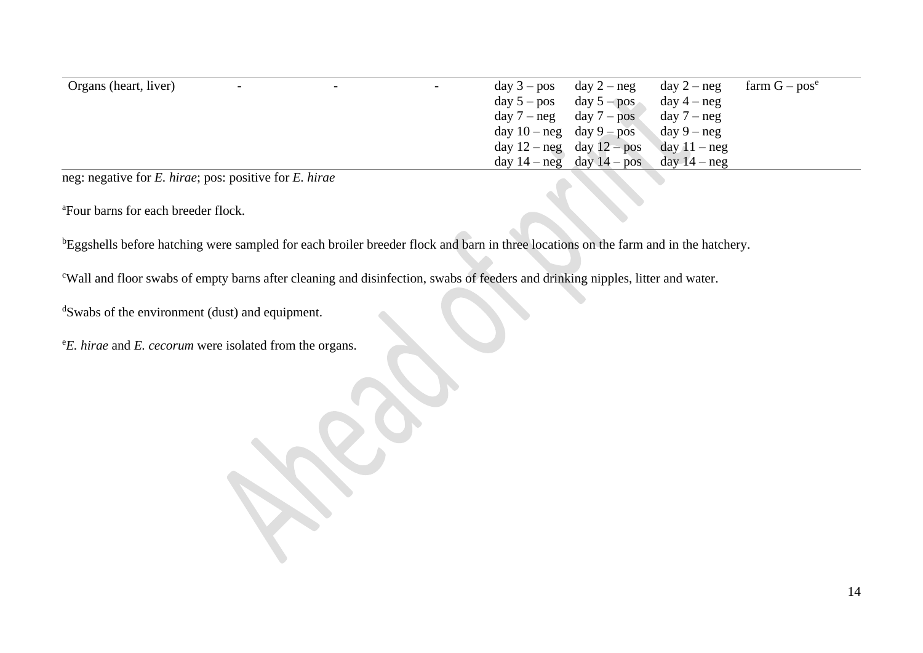| Organs (heart, liver) | $\overline{\phantom{0}}$   | Ξ. | $\sim$ | $day 3 - pos$ $day 2 - neg$  |                                              | $day 2 - neg$  | farm $G - pos^e$ |
|-----------------------|----------------------------|----|--------|------------------------------|----------------------------------------------|----------------|------------------|
|                       |                            |    |        |                              | $day 5 - pos$ day $5 - pos$                  | $day 4 - neg$  |                  |
|                       |                            |    |        |                              | $day 7 - neg$ day $7 - pos$                  | $day 7 - neg$  |                  |
|                       |                            |    |        | day $10 - neg$ day $9 - pos$ |                                              | $day 9 - neg$  |                  |
|                       |                            |    |        |                              | day $12 - neg$ day $12 - pos$                | day $11 - neg$ |                  |
|                       |                            |    |        |                              | day $14 - neg$ day $14 - pos$ day $14 - neg$ |                |                  |
| $\sim$ $\sim$         | $\ddotsc$<br>$\sim$ $\sim$ |    |        |                              |                                              |                |                  |

neg: negative for *E. hirae*; pos: positive for *E. hirae*

<sup>a</sup>Four barns for each breeder flock.

bEggshells before hatching were sampled for each broiler breeder flock and barn in three locations on the farm and in the hatchery.

<sup>c</sup>Wall and floor swabs of empty barns after cleaning and disinfection, swabs of feeders and drinking nipples, litter and water.

<sup>d</sup>Swabs of the environment (dust) and equipment.

<sup>e</sup>*E. hirae* and *E. cecorum* were isolated from the organs.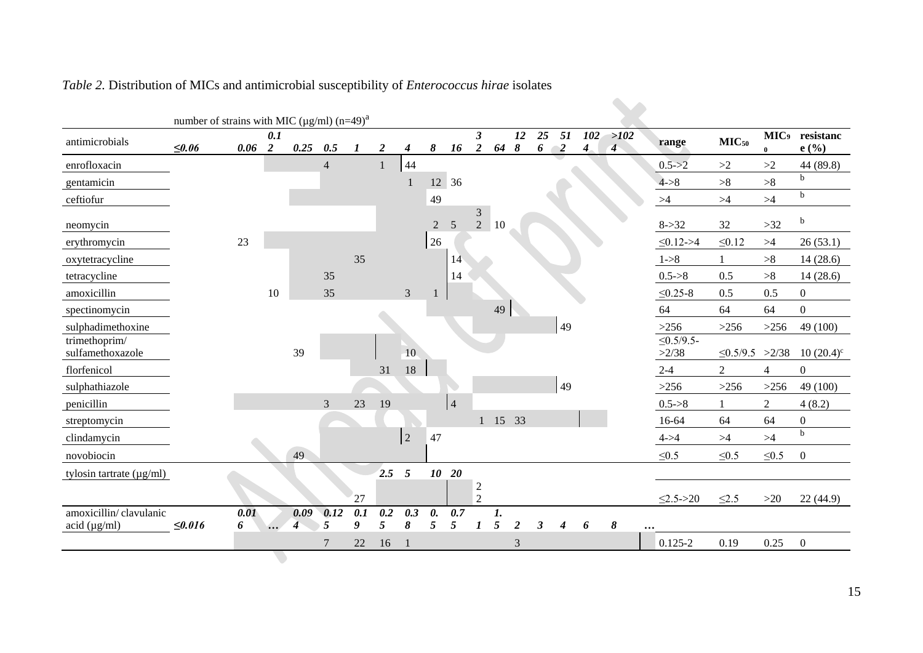|                                                 | number of strains with MIC ( $\mu$ g/ml) (n=49) <sup>a</sup> |           |          |                          |                |          |                  |                 |                |             |                                        |                      |                |         |                      |                         |                        |                         |                      |                              |                    |
|-------------------------------------------------|--------------------------------------------------------------|-----------|----------|--------------------------|----------------|----------|------------------|-----------------|----------------|-------------|----------------------------------------|----------------------|----------------|---------|----------------------|-------------------------|------------------------|-------------------------|----------------------|------------------------------|--------------------|
| antimicrobials                                  | $≤0.06$                                                      | 0.06      | 0.1<br>2 | 0.25                     | 0.5            | $\bm{l}$ | $\boldsymbol{2}$ | 4               | 8              | 16          | $\boldsymbol{\beta}$<br>$\overline{2}$ | 64                   | 12<br>8        | 25<br>6 | 51<br>$\overline{2}$ | 102<br>$\boldsymbol{4}$ | >102<br>$\overline{4}$ | range                   | MIC <sub>50</sub>    | MIC <sub>9</sub><br>$\bf{0}$ | resistanc<br>e(%)  |
| enrofloxacin                                    |                                                              |           |          |                          | $\overline{4}$ |          | 1                | 44              |                |             |                                        |                      |                |         |                      |                         |                        | $0.5 - > 2$             | ${>}2$               | >2                           | 44 (89.8)          |
| gentamicin                                      |                                                              |           |          |                          |                |          |                  |                 |                | 12 36       |                                        |                      |                |         |                      |                         |                        | $4 - > 8$               | >8                   | >8                           | $\mathbf b$        |
| ceftiofur                                       |                                                              |           |          |                          |                |          |                  |                 | 49             |             |                                        |                      |                |         |                      |                         |                        | $>\!\!4$                | $>\!\!4$             | $>4$                         | $\mathbf b$        |
| neomycin                                        |                                                              |           |          |                          |                |          |                  |                 | $\overline{2}$ | 5           | 3<br>$\overline{2}$                    | 10                   |                |         |                      |                         |                        | $8 - > 32$              | 32                   | $>32$                        | $\mathbf b$        |
| erythromycin                                    |                                                              | 23        |          |                          |                |          |                  |                 | 26             |             |                                        |                      |                |         |                      |                         |                        | $\leq 0.12 - 54$        | $\leq 0.12$          | >4                           | 26(53.1)           |
| oxytetracycline                                 |                                                              |           |          |                          |                | 35       |                  |                 |                | 14          |                                        |                      |                |         |                      |                         |                        | $1 - > 8$               |                      | >8                           | 14(28.6)           |
| tetracycline                                    |                                                              |           |          |                          | 35             |          |                  |                 |                | 14          |                                        |                      |                |         |                      |                         |                        | $0.5 - 8$               | 0.5                  | $>\!\!8$                     | 14(28.6)           |
| amoxicillin                                     |                                                              |           | 10       |                          | 35             |          |                  | 3               |                |             |                                        |                      |                |         |                      |                         |                        | $\leq 0.25 - 8$         | 0.5                  | 0.5                          | $\boldsymbol{0}$   |
| spectinomycin                                   |                                                              |           |          |                          |                |          |                  |                 |                |             |                                        | 49                   |                |         |                      |                         |                        | 64                      | 64                   | 64                           | $\boldsymbol{0}$   |
| sulphadimethoxine                               |                                                              |           |          |                          |                |          |                  |                 |                |             |                                        |                      |                |         | 49                   |                         |                        | $>256$                  | $>256$               | $>256$                       | 49 (100)           |
| trimethoprim/<br>sulfamethoxazole               |                                                              |           |          | 39                       |                |          |                  | 10 <sup>°</sup> |                |             |                                        |                      |                |         |                      |                         |                        | $\leq 0.5/9.5$<br>>2/38 | $\leq$ 0.5/9.5 >2/38 |                              | $10(20.4)^{\circ}$ |
| florfenicol                                     |                                                              |           |          |                          |                |          | 31               | $18\,$          |                |             |                                        |                      |                |         |                      |                         |                        | $2 - 4$                 | $\overline{2}$       | $\overline{4}$               | $\boldsymbol{0}$   |
| sulphathiazole                                  |                                                              |           |          |                          |                |          |                  |                 |                |             |                                        |                      |                |         | 49                   |                         |                        | $>256$                  | $>256$               | $>256$                       | 49 (100)           |
| penicillin                                      |                                                              |           |          |                          | 3              | 23       | 19               |                 |                | $\vert 4$   |                                        |                      |                |         |                      |                         |                        | $0.5 - > 8$             |                      | $\overline{2}$               | 4(8.2)             |
| streptomycin                                    |                                                              |           |          |                          |                |          |                  |                 |                |             |                                        | 1 15 33              |                |         |                      |                         |                        | $16 - 64$               | 64                   | 64                           | $\boldsymbol{0}$   |
| clindamycin                                     |                                                              |           |          |                          |                |          |                  | $\overline{2}$  | 47             |             |                                        |                      |                |         |                      |                         |                        | $4 - > 4$               | $>\!\!4$             | $>\!\!4$                     | $\rm b$            |
| novobiocin                                      |                                                              |           |          | 49                       |                |          |                  |                 |                |             |                                        |                      |                |         |                      |                         |                        | $\leq 0.5$              | $\leq 0.5$           | $\leq 0.5$                   | $\boldsymbol{0}$   |
| tylosin tartrate $(\mu g/ml)$                   |                                                              |           |          |                          |                |          | 2.5              | $\overline{5}$  |                | $10\quad20$ |                                        |                      |                |         |                      |                         |                        |                         |                      |                              |                    |
|                                                 |                                                              |           |          |                          |                | 27       |                  |                 |                |             | $\overline{2}$<br>$\overline{2}$       |                      |                |         |                      |                         |                        | $\leq$ 2.5->20          | $\leq 2.5$           | >20                          | 22(44.9)           |
| amoxicillin/clavulanic<br>$\text{acid (µg/ml)}$ | ≤0.016                                                       | 0.01<br>6 |          | 0.09<br>$\boldsymbol{4}$ | 0.12<br>5      | 0.1<br>9 | 0.2<br>5         | 0.3<br>8        | 0.<br>5        | 0.7<br>5    | 1                                      | 1.<br>$\mathfrak{s}$ | $\overline{2}$ | 3       | 4                    | 6                       | 8                      |                         |                      |                              |                    |
|                                                 |                                                              |           |          |                          | 7              | $22\,$   | 16               |                 |                |             |                                        |                      | 3              |         |                      |                         |                        | $0.125 - 2$             | 0.19                 | 0.25                         | $\boldsymbol{0}$   |
|                                                 |                                                              |           |          |                          |                |          |                  |                 |                |             |                                        |                      |                |         |                      |                         |                        |                         |                      |                              |                    |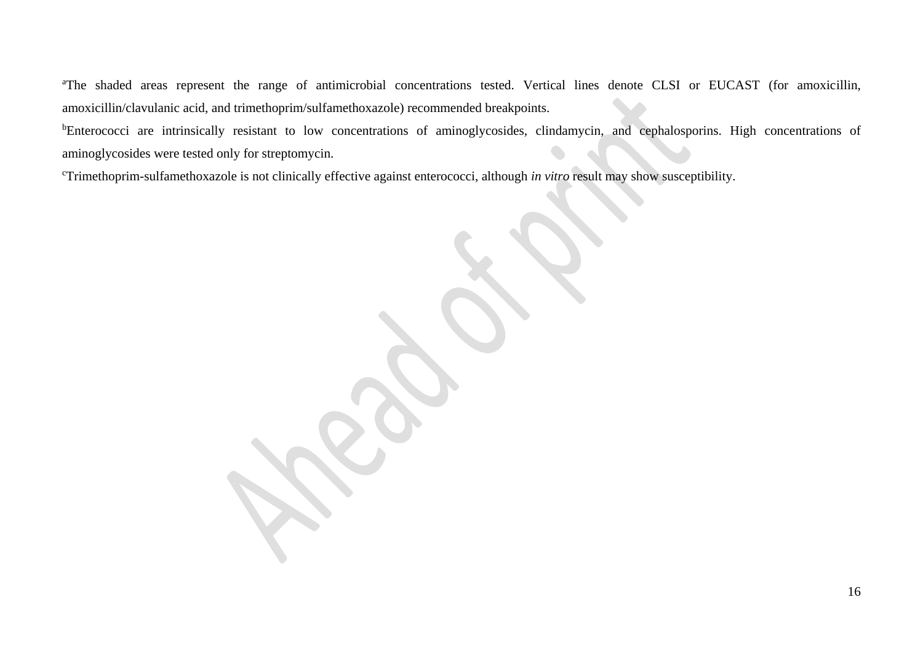<sup>a</sup>The shaded areas represent the range of antimicrobial concentrations tested. Vertical lines denote CLSI or EUCAST (for amoxicillin, amoxicillin/clavulanic acid, and trimethoprim/sulfamethoxazole) recommended breakpoints.

<sup>b</sup>Enterococci are intrinsically resistant to low concentrations of aminoglycosides, clindamycin, and cephalosporins. High concentrations of aminoglycosides were tested only for streptomycin.

<sup>c</sup>Trimethoprim-sulfamethoxazole is not clinically effective against enterococci, although *in vitro* result may show susceptibility.